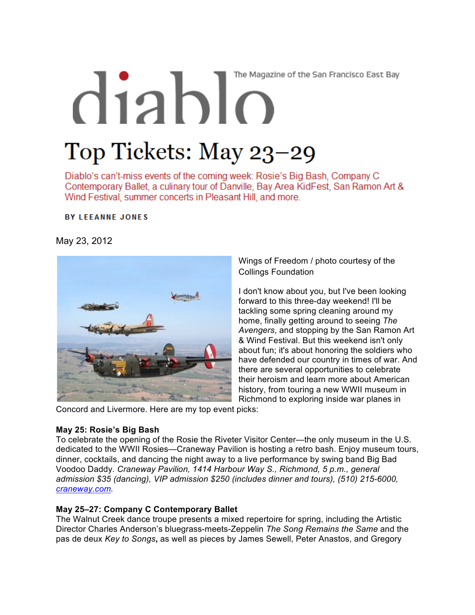# The Magazine of the San Francisco East Bay  $diab$ Top Tickets: May 23-29

Diablo's can't-miss events of the coming week: Rosie's Big Bash, Company C Contemporary Ballet, a culinary tour of Danville, Bay Area KidFest, San Ramon Art & Wind Festival, summer concerts in Pleasant Hill, and more.

**BY LEEANNE JONES** 

May 23, 2012



Wings of Freedom / photo courtesy of the Collings Foundation

I don't know about you, but I've been looking forward to this three-day weekend! I'll be tackling some spring cleaning around my home, finally getting around to seeing *The Avengers*, and stopping by the San Ramon Art & Wind Festival. But this weekend isn't only about fun; it's about honoring the soldiers who have defended our country in times of war. And there are several opportunities to celebrate their heroism and learn more about American history, from touring a new WWII museum in Richmond to exploring inside war planes in

Concord and Livermore. Here are my top event picks:

#### **May 25: Rosie's Big Bash**

To celebrate the opening of the Rosie the Riveter Visitor Center—the only museum in the U.S. dedicated to the WWII Rosies—Craneway Pavilion is hosting a retro bash. Enjoy museum tours, dinner, cocktails, and dancing the night away to a live performance by swing band Big Bad Voodoo Daddy. *Craneway Pavilion, 1414 Harbour Way S., Richmond, 5 p.m., general admission \$35 (dancing), VIP admission \$250 (includes dinner and tours), (510) 215-6000, craneway.com.*

#### **May 25–27: Company C Contemporary Ballet**

The Walnut Creek dance troupe presents a mixed repertoire for spring, including the Artistic Director Charles Anderson's bluegrass-meets-Zeppelin *The Song Remains the Same* and the pas de deux *Key to Songs***,** as well as pieces by James Sewell, Peter Anastos, and Gregory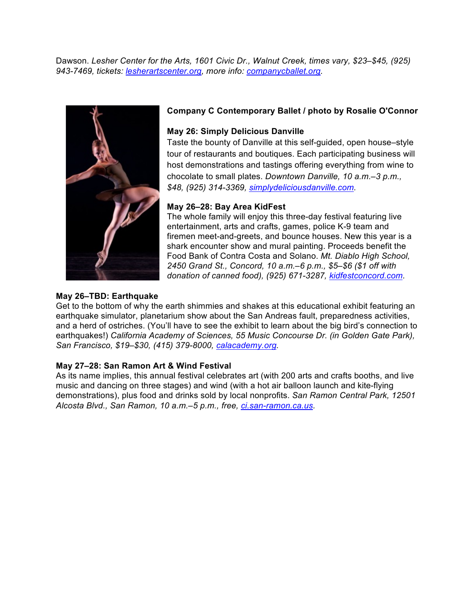Dawson. *Lesher Center for the Arts, 1601 Civic Dr., Walnut Creek, times vary, \$23–\$45, (925) 943-7469, tickets: lesherartscenter.org, more info: companycballet.org.*



# **Company C Contemporary Ballet / photo by Rosalie O'Connor**

## **May 26: Simply Delicious Danville**

Taste the bounty of Danville at this self-guided, open house–style tour of restaurants and boutiques. Each participating business will host demonstrations and tastings offering everything from wine to chocolate to small plates. *Downtown Danville, 10 a.m.–3 p.m., \$48, (925) 314-3369, simplydeliciousdanville.com.*

## **May 26–28: Bay Area KidFest**

The whole family will enjoy this three-day festival featuring live entertainment, arts and crafts, games, police K-9 team and firemen meet-and-greets, and bounce houses. New this year is a shark encounter show and mural painting. Proceeds benefit the Food Bank of Contra Costa and Solano. *Mt. Diablo High School, 2450 Grand St., Concord, 10 a.m.–6 p.m., \$5–\$6 (\$1 off with donation of canned food), (925) 671-3287, kidfestconcord.com.*

#### **May 26–TBD: Earthquake**

Get to the bottom of why the earth shimmies and shakes at this educational exhibit featuring an earthquake simulator, planetarium show about the San Andreas fault, preparedness activities, and a herd of ostriches. (You'll have to see the exhibit to learn about the big bird's connection to earthquakes!) *California Academy of Sciences, 55 Music Concourse Dr. (in Golden Gate Park), San Francisco, \$19–\$30, (415) 379-8000, calacademy.org.*

#### **May 27–28: San Ramon Art & Wind Festival**

As its name implies, this annual festival celebrates art (with 200 arts and crafts booths, and live music and dancing on three stages) and wind (with a hot air balloon launch and kite-flying demonstrations), plus food and drinks sold by local nonprofits. *San Ramon Central Park, 12501 Alcosta Blvd., San Ramon, 10 a.m.–5 p.m., free, ci.san-ramon.ca.us.*